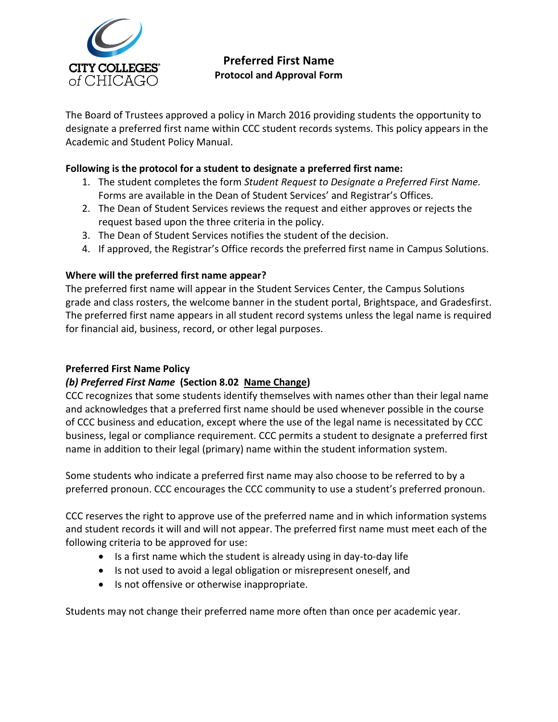

# **Preferred First Name Protocol and Approval Form**

The Board of Trustees approved a policy in March 2016 providing students the opportunity to designate a preferred first name within CCC student records systems. This policy appears in the Academic and Student Policy Manual.

#### **Following is the protocol for a student to designate a preferred first name:**

- 1. The student completes the form *Student Request to Designate a Preferred First Name.* Forms are available in the Dean of Student Services' and Registrar's Offices.
- 2. The Dean of Student Services reviews the request and either approves or rejects the request based upon the three criteria in the policy.
- 3. The Dean of Student Services notifies the student of the decision.
- 4. If approved, the Registrar's Office records the preferred first name in Campus Solutions.

### **Where will the preferred first name appear?**

The preferred first name will appear in the Student Services Center, the Campus Solutions grade and class rosters, the welcome banner in the student portal, Brightspace, and Gradesfirst. The preferred first name appears in all student record systems unless the legal name is required for financial aid, business, record, or other legal purposes.

#### **Preferred First Name Policy**

### *(b) Preferred First Name* **(Section 8.02 Name Change)**

CCC recognizes that some students identify themselves with names other than their legal name and acknowledges that a preferred first name should be used whenever possible in the course of CCC business and education, except where the use of the legal name is necessitated by CCC business, legal or compliance requirement. CCC permits a student to designate a preferred first name in addition to their legal (primary) name within the student information system.

Some students who indicate a preferred first name may also choose to be referred to by a preferred pronoun. CCC encourages the CCC community to use a student's preferred pronoun.

CCC reserves the right to approve use of the preferred name and in which information systems and student records it will and will not appear. The preferred first name must meet each of the following criteria to be approved for use:

- Is a first name which the student is already using in day-to-day life
- Is not used to avoid a legal obligation or misrepresent oneself, and
- Is not offensive or otherwise inappropriate.

Students may not change their preferred name more often than once per academic year.